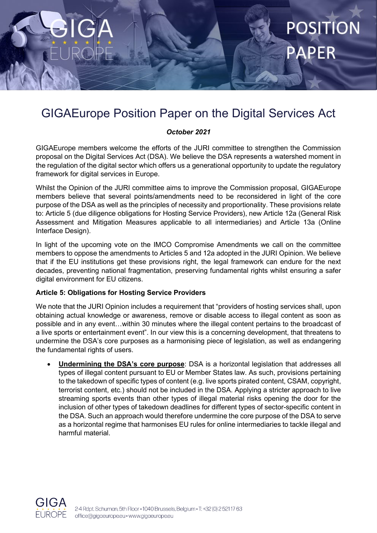## GIGAEurope Position Paper on the Digital Services Act

**POSITION** 

#### *October 2021*

GIGAEurope members welcome the efforts of the JURI committee to strengthen the Commission proposal on the Digital Services Act (DSA). We believe the DSA represents a watershed moment in the regulation of the digital sector which offers us a generational opportunity to update the regulatory framework for digital services in Europe.

Whilst the Opinion of the JURI committee aims to improve the Commission proposal, GIGAEurope members believe that several points/amendments need to be reconsidered in light of the core purpose of the DSA as well as the principles of necessity and proportionality. These provisions relate to: Article 5 (due diligence obligations for Hosting Service Providers), new Article 12a (General Risk Assessment and Mitigation Measures applicable to all intermediaries) and Article 13a (Online Interface Design).

In light of the upcoming vote on the IMCO Compromise Amendments we call on the committee members to oppose the amendments to Articles 5 and 12a adopted in the JURI Opinion. We believe that if the EU institutions get these provisions right, the legal framework can endure for the next decades, preventing national fragmentation, preserving fundamental rights whilst ensuring a safer digital environment for EU citizens.

#### **Article 5: Obligations for Hosting Service Providers**

We note that the JURI Opinion includes a requirement that "providers of hosting services shall, upon obtaining actual knowledge or awareness, remove or disable access to illegal content as soon as possible and in any event…within 30 minutes where the illegal content pertains to the broadcast of a live sports or entertainment event". In our view this is a concerning development, that threatens to undermine the DSA's core purposes as a harmonising piece of legislation, as well as endangering the fundamental rights of users.

• **Undermining the DSA's core purpose**: DSA is a horizontal legislation that addresses all types of illegal content pursuant to EU or Member States law. As such, provisions pertaining to the takedown of specific types of content (e.g. live sports pirated content, CSAM, copyright, terrorist content, etc.) should not be included in the DSA. Applying a stricter approach to live streaming sports events than other types of illegal material risks opening the door for the inclusion of other types of takedown deadlines for different types of sector-specific content in the DSA. Such an approach would therefore undermine the core purpose of the DSA to serve as a horizontal regime that harmonises EU rules for online intermediaries to tackle illegal and harmful material.

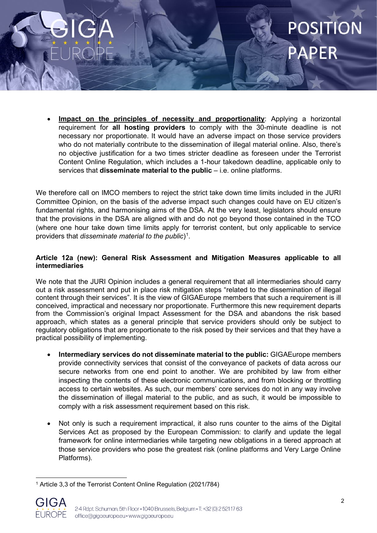# **POSITIO**

• **Impact on the principles of necessity and proportionality**: Applying a horizontal requirement for **all hosting providers** to comply with the 30-minute deadline is not necessary nor proportionate. It would have an adverse impact on those service providers who do not materially contribute to the dissemination of illegal material online. Also, there's no objective justification for a two times stricter deadline as foreseen under the Terrorist Content Online Regulation, which includes a 1-hour takedown deadline, applicable only to services that **disseminate material to the public** – i.e. online platforms.

We therefore call on IMCO members to reject the strict take down time limits included in the JURI Committee Opinion, on the basis of the adverse impact such changes could have on EU citizen's fundamental rights, and harmonising aims of the DSA. At the very least, legislators should ensure that the provisions in the DSA are aligned with and do not go beyond those contained in the TCO (where one hour take down time limits apply for terrorist content, but only applicable to service providers that *disseminate material to the public*)<sup>[1](#page-1-0)</sup>.

### **Article 12a (new): General Risk Assessment and Mitigation Measures applicable to all intermediaries**

We note that the JURI Opinion includes a general requirement that all intermediaries should carry out a risk assessment and put in place risk mitigation steps "related to the dissemination of illegal content through their services". It is the view of GIGAEurope members that such a requirement is ill conceived, impractical and necessary nor proportionate. Furthermore this new requirement departs from the Commission's original Impact Assessment for the DSA and abandons the risk based approach, which states as a general principle that service providers should only be subject to regulatory obligations that are proportionate to the risk posed by their services and that they have a practical possibility of implementing.

- **Intermediary services do not disseminate material to the public:** GIGAEurope members provide connectivity services that consist of the conveyance of packets of data across our secure networks from one end point to another. We are prohibited by law from either inspecting the contents of these electronic communications, and from blocking or throttling access to certain websites. As such, our members' core services do not in any way involve the dissemination of illegal material to the public, and as such, it would be impossible to comply with a risk assessment requirement based on this risk.
- Not only is such a requirement impractical, it also runs counter to the aims of the Digital Services Act as proposed by the European Commission: to clarify and update the legal framework for online intermediaries while targeting new obligations in a tiered approach at those service providers who pose the greatest risk (online platforms and Very Large Online Platforms).

<span id="page-1-0"></span><sup>1</sup> Article 3,3 of the Terrorist Content Online Regulation (2021/784)



2-4 Rdpt. Schuman, 5th Floor . 1040 Brussels, Belgium . T: +32 (0) 2 52117 63 office@gigaeurope.eu · www.gigaeurope.eu